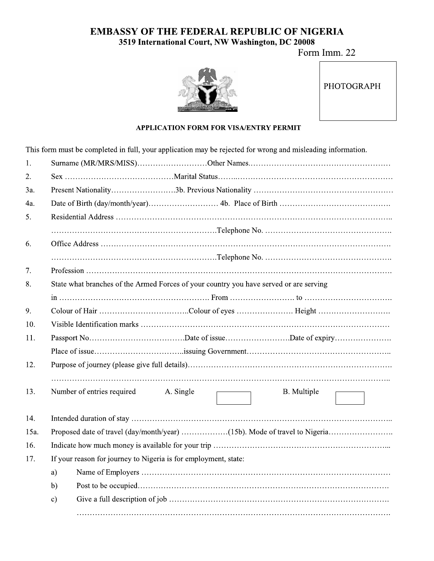## EMBASSY OF THE FEDERAL REPUBLIC OF NIGERIA SSY OF THE FEDERAL REPUBLIC OF NIGERIA<br>3519 International Court, NW Washington, DC 20008<br>Form Imm. 22<br>PHOTOGRAPH<br>APPLICATION FORM FOR VISA/ENTRY PERMIT

Form Imm. 22



| <b>PHOTOGRAPH</b> |
|-------------------|
|-------------------|

## APPLICATION FORM FOR VISA/ENTRY PERMIT

This form must be completed in full, your application may be rejected for wrong and misleading information.

| 1.                                                                                           |                                                                 |  |  |  |  |
|----------------------------------------------------------------------------------------------|-----------------------------------------------------------------|--|--|--|--|
| 2.                                                                                           |                                                                 |  |  |  |  |
| 3a.                                                                                          |                                                                 |  |  |  |  |
| 4a.                                                                                          |                                                                 |  |  |  |  |
| 5.                                                                                           |                                                                 |  |  |  |  |
|                                                                                              |                                                                 |  |  |  |  |
| 6.                                                                                           |                                                                 |  |  |  |  |
|                                                                                              |                                                                 |  |  |  |  |
| 7.                                                                                           |                                                                 |  |  |  |  |
| State what branches of the Armed Forces of your country you have served or are serving<br>8. |                                                                 |  |  |  |  |
|                                                                                              |                                                                 |  |  |  |  |
| 9.                                                                                           |                                                                 |  |  |  |  |
| 10.                                                                                          |                                                                 |  |  |  |  |
| 11.                                                                                          |                                                                 |  |  |  |  |
|                                                                                              |                                                                 |  |  |  |  |
| 12.                                                                                          |                                                                 |  |  |  |  |
| 13.                                                                                          | Number of entries required<br>A. Single<br>B. Multiple          |  |  |  |  |
| 14.                                                                                          |                                                                 |  |  |  |  |
| 15a.                                                                                         |                                                                 |  |  |  |  |
| 16.                                                                                          |                                                                 |  |  |  |  |
| 17.                                                                                          | If your reason for journey to Nigeria is for employment, state: |  |  |  |  |
|                                                                                              | a)                                                              |  |  |  |  |
|                                                                                              | b)                                                              |  |  |  |  |
|                                                                                              | $\mathbf{c})$                                                   |  |  |  |  |
|                                                                                              |                                                                 |  |  |  |  |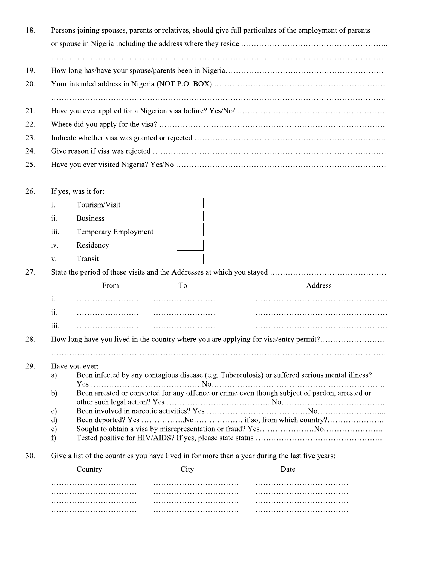| 18. |                    | Persons joining spouses, parents or relatives, should give full particulars of the employment of parents |      |         |  |  |
|-----|--------------------|----------------------------------------------------------------------------------------------------------|------|---------|--|--|
|     |                    |                                                                                                          |      |         |  |  |
|     |                    |                                                                                                          |      |         |  |  |
| 19. |                    |                                                                                                          |      |         |  |  |
| 20. |                    |                                                                                                          |      |         |  |  |
|     |                    |                                                                                                          |      |         |  |  |
| 21. |                    |                                                                                                          |      |         |  |  |
| 22. |                    |                                                                                                          |      |         |  |  |
| 23. |                    |                                                                                                          |      |         |  |  |
| 24. |                    |                                                                                                          |      |         |  |  |
| 25. |                    |                                                                                                          |      |         |  |  |
|     |                    |                                                                                                          |      |         |  |  |
| 26. |                    | If yes, was it for:                                                                                      |      |         |  |  |
|     | i.                 | Tourism/Visit                                                                                            |      |         |  |  |
|     | ii.                | <b>Business</b>                                                                                          |      |         |  |  |
|     | iii.               | Temporary Employment                                                                                     |      |         |  |  |
|     | iv.                | Residency                                                                                                |      |         |  |  |
|     | V.                 | Transit                                                                                                  |      |         |  |  |
| 27. |                    |                                                                                                          |      |         |  |  |
|     |                    | From                                                                                                     | To   | Address |  |  |
|     | i.                 |                                                                                                          |      |         |  |  |
|     | ii.                |                                                                                                          |      |         |  |  |
|     | iii.               |                                                                                                          |      |         |  |  |
| 28. |                    | How long have you lived in the country where you are applying for visa/entry permit?                     |      |         |  |  |
|     |                    |                                                                                                          |      |         |  |  |
| 29. |                    | Have you ever:                                                                                           |      |         |  |  |
|     | a)                 | Been infected by any contagious disease (e.g. Tuberculosis) or suffered serious mental illness?          |      |         |  |  |
|     | b)                 | Been arrested or convicted for any offence or crime even though subject of pardon, arrested or           |      |         |  |  |
|     | $\mathbf{c})$      |                                                                                                          |      |         |  |  |
|     | d)<br>$\epsilon$ ) |                                                                                                          |      |         |  |  |
|     | f                  |                                                                                                          |      |         |  |  |
| 30. |                    | Give a list of the countries you have lived in for more than a year during the last five years:          |      |         |  |  |
|     |                    | Country                                                                                                  | City | Date    |  |  |
|     |                    |                                                                                                          |      |         |  |  |
|     |                    |                                                                                                          |      |         |  |  |
|     |                    |                                                                                                          |      |         |  |  |